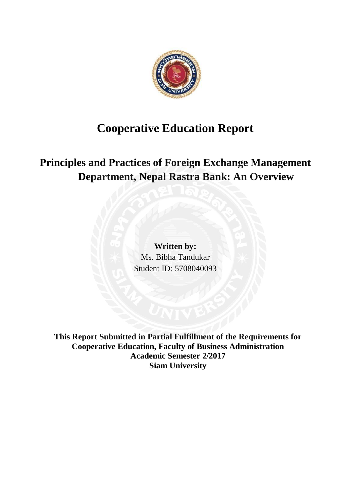

# **Cooperative Education Report**

**Principles and Practices of Foreign Exchange Management Department, Nepal Rastra Bank: An Overview** 

> **Written by:**  Ms. Bibha Tandukar Student ID: 5708040093

**This Report Submitted in Partial Fulfillment of the Requirements for Cooperative Education, Faculty of Business Administration Academic Semester 2/2017 Siam University**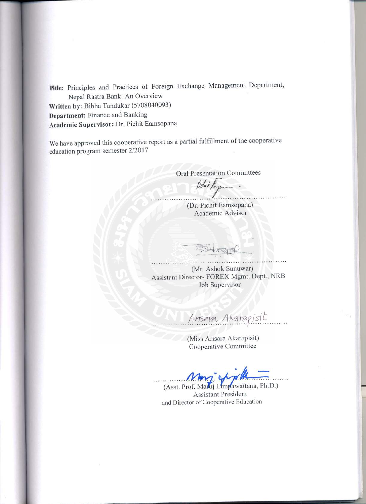Title: Principles and Practices of Foreign Exchange Management Department, Nepal Rastra Bank: An Overview Written by: Bibha Tandukar (5708040093)

Department: Finance and Banking Academic Supervisor: Dr. Pichit Eamsopana

We have approved this cooperative report as a partial fulfillment of the cooperative education program semester 2/2017

**Oral Presentation Committees** 

lichet France

(Dr. Pichit Eamsopana) Academic Advisor

(Mr. Ashok Sunuwar) Assistant Director- FOREX Mgmt. Dept., NRB Job Supervisor

Ansava Akarapisit

(Miss Arisara Akarapisit) Cooperative Committee

(Asst. Prof. Makij Limpawattana, Ph.D.) **Assistant President** and Director of Cooperative Education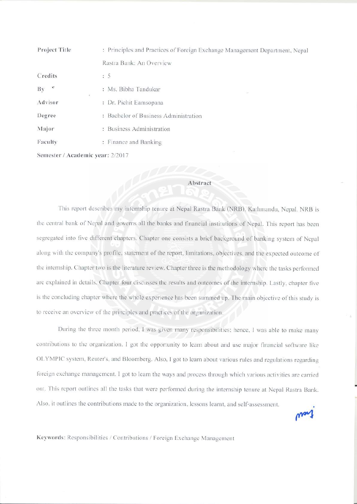| Project Title                    | : Principles and Practices of Foreign Exchange Management Department, Nepal |  |  |  |  |  |
|----------------------------------|-----------------------------------------------------------------------------|--|--|--|--|--|
|                                  | Rastra Bank: An Overview                                                    |  |  |  |  |  |
| Credits                          | : 5                                                                         |  |  |  |  |  |
| $\mathbf{v}$<br>By               | : Ms. Bibha Tandukar                                                        |  |  |  |  |  |
| Advisor                          | ĭ.<br>: Dr. Pichit Eamsopana                                                |  |  |  |  |  |
| Degree                           | : Bachelor of Business Administration                                       |  |  |  |  |  |
| Major                            | : Business Administration                                                   |  |  |  |  |  |
| Faculty                          | : Finance and Banking                                                       |  |  |  |  |  |
| Semester / Academic vear: 2/2017 |                                                                             |  |  |  |  |  |

#### Abstract

This report describes my internship tenure at Nepal Rastra Bank (NRB), Kathmandu, Nepal. NRB is the central bank of Nepal and governs all the banks and financial institutions of Nepal. This report has been segregated into five different chapters. Chapter one consists a brief background of banking system of Nepal along with the company's profile, statement of the report, limitations, objectives, and the expected outcome of the internship. Chapter two is the literature review. Chapter three is the methodology where the tasks performed are explained in details. Chapter four discusses the results and outcomes of the internship. Lastly, chapter five is the concluding chapter where the whole experience has been summed up. The main objective of this study is to receive an overview of the principles and practices of the organization.

During the three month period, I was given many responsibilities; hence, I was able to make many contributions to the organization. I got the opportunity to learn about and use major financial software like OLYMPIC system, Reuter's, and Bloomberg. Also, I got to learn about various rules and regulations regarding foreign exchange management. I got to learn the ways and process through which various activities are carried out. This report outlines all the tasks that were performed during the internship tenure at Nepal Rastra Bank. Also, it outlines the contributions made to the organization, lessons learnt, and self-assessment.

Keywords: Responsibilities / Contributions / Foreign Exchange Management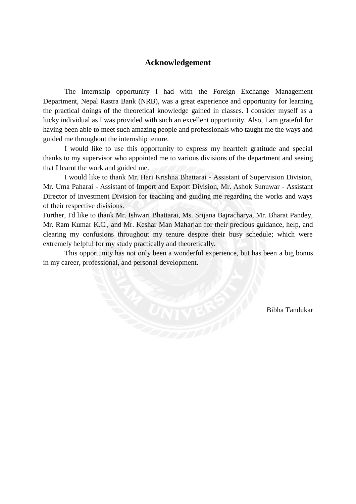## **Acknowledgement**

The internship opportunity I had with the Foreign Exchange Management Department, Nepal Rastra Bank (NRB), was a great experience and opportunity for learning the practical doings of the theoretical knowledge gained in classes. I consider myself as a lucky individual as I was provided with such an excellent opportunity. Also, I am grateful for having been able to meet such amazing people and professionals who taught me the ways and guided me throughout the internship tenure.

I would like to use this opportunity to express my heartfelt gratitude and special thanks to my supervisor who appointed me to various divisions of the department and seeing that I learnt the work and guided me.

I would like to thank Mr. Hari Krishna Bhattarai - Assistant of Supervision Division, Mr. Uma Paharai - Assistant of Import and Export Division, Mr. Ashok Sunuwar - Assistant Director of Investment Division for teaching and guiding me regarding the works and ways of their respective divisions.

Further, I'd like to thank Mr. Ishwari Bhattarai, Ms. Srijana Bajracharya, Mr. Bharat Pandey, Mr. Ram Kumar K.C., and Mr. Keshar Man Maharjan for their precious guidance, help, and clearing my confusions throughout my tenure despite their busy schedule; which were extremely helpful for my study practically and theoretically.

 This opportunity has not only been a wonderful experience, but has been a big bonus in my career, professional, and personal development.

Bibha Tandukar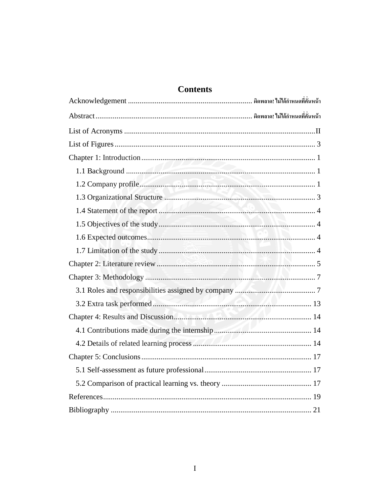# **Contents**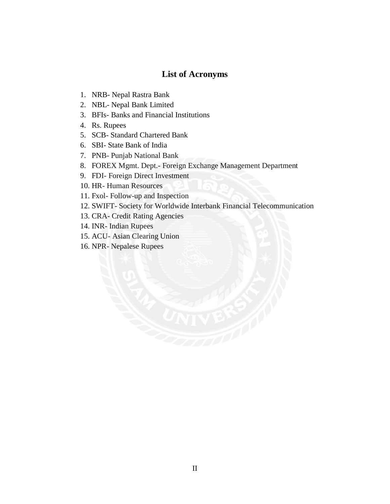## **List of Acronyms**

- <span id="page-5-0"></span>1. NRB- Nepal Rastra Bank
- 2. NBL- Nepal Bank Limited
- 3. BFIs- Banks and Financial Institutions
- 4. Rs. Rupees
- 5. SCB- Standard Chartered Bank
- 6. SBI- State Bank of India
- 7. PNB- Punjab National Bank
- 8. FOREX Mgmt. Dept.- Foreign Exchange Management Department
- 9. FDI- Foreign Direct Investment
- 10. HR- Human Resources
- 11. Fxol- Follow-up and Inspection
- 12. SWIFT- Society for Worldwide Interbank Financial Telecommunication
- 13. CRA- Credit Rating Agencies
- 14. INR- Indian Rupees
- 15. ACU- Asian Clearing Union
- 16. NPR- Nepalese Rupees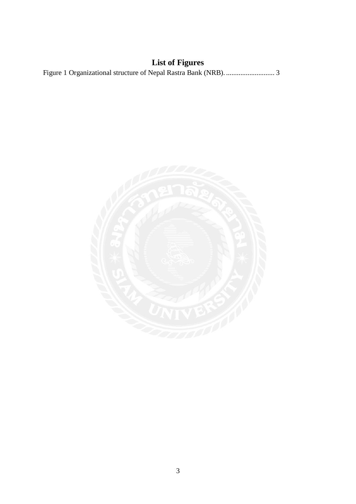# **List of Figures**

<span id="page-6-0"></span>

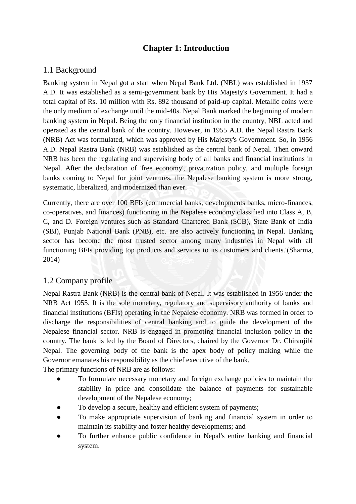# **Chapter 1: Introduction**

## 1.1 Background

Banking system in Nepal got a start when Nepal Bank Ltd. (NBL) was established in 1937 A.D. It was established as a semi-government bank by His Majesty's Government. It had a total capital of Rs. 10 million with Rs. 892 thousand of paid-up capital. Metallic coins were the only medium of exchange until the mid-40s. Nepal Bank marked the beginning of modern banking system in Nepal. Being the only financial institution in the country, NBL acted and operated as the central bank of the country. However, in 1955 A.D. the Nepal Rastra Bank (NRB) Act was formulated, which was approved by His Majesty's Government. So, in 1956 A.D. Nepal Rastra Bank (NRB) was established as the central bank of Nepal. Then onward NRB has been the regulating and supervising body of all banks and financial institutions in Nepal. After the declaration of 'free economy', privatization policy, and multiple foreign banks coming to Nepal for joint ventures, the Nepalese banking system is more strong, systematic, liberalized, and modernized than ever.

Currently, there are over 100 BFIs (commercial banks, developments banks, micro-finances, co-operatives, and finances) functioning in the Nepalese economy classified into Class A, B, C, and D. Foreign ventures such as Standard Chartered Bank (SCB), State Bank of India (SBI), Punjab National Bank (PNB), etc. are also actively functioning in Nepal. Banking sector has become the most trusted sector among many industries in Nepal with all functioning BFIs providing top products and services to its customers and clients.'(Sharma, 2014)

## 1.2 Company profile

Nepal Rastra Bank (NRB) is the central bank of Nepal. It was established in 1956 under the NRB Act 1955. It is the sole monetary, regulatory and supervisory authority of banks and financial institutions (BFIs) operating in the Nepalese economy. NRB was formed in order to discharge the responsibilities of central banking and to guide the development of the Nepalese financial sector. NRB is engaged in promoting financial inclusion policy in the country. The bank is led by the Board of Directors, chaired by the Governor Dr. Chiranjibi Nepal. The governing body of the bank is the apex body of policy making while the Governor emanates his responsibility as the chief executive of the bank.

The primary functions of NRB are as follows:

- To formulate necessary monetary and foreign exchange policies to maintain the stability in price and consolidate the balance of payments for sustainable development of the Nepalese economy;
- To develop a secure, healthy and efficient system of payments;
- To make appropriate supervision of banking and financial system in order to maintain its stability and foster healthy developments; and
- To further enhance public confidence in Nepal's entire banking and financial system.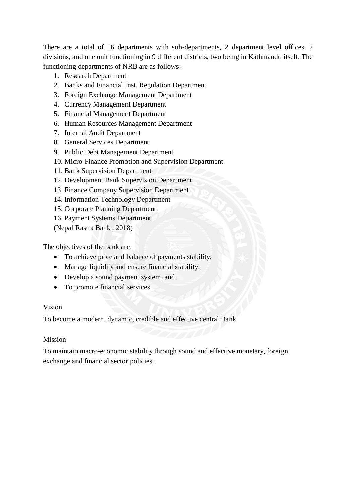There are a total of 16 departments with sub-departments, 2 department level offices, 2 divisions, and one unit functioning in 9 different districts, two being in Kathmandu itself. The functioning departments of NRB are as follows:

- 1. Research Department
- 2. Banks and Financial Inst. Regulation Department
- 3. Foreign Exchange Management Department
- 4. Currency Management Department
- 5. Financial Management Department
- 6. Human Resources Management Department
- 7. Internal Audit Department
- 8. General Services Department
- 9. Public Debt Management Department
- 10. Micro-Finance Promotion and Supervision Department
- 11. Bank Supervision Department
- 12. Development Bank Supervision Department
- 13. Finance Company Supervision Department
- 14. Information Technology Department
- 15. Corporate Planning Department
- 16. Payment Systems Department

(Nepal Rastra Bank , 2018)

The objectives of the bank are:

- To achieve price and balance of payments stability,
- Manage liquidity and ensure financial stability,
- Develop a sound payment system, and
- To promote financial services.

## Vision

To become a modern, dynamic, credible and effective central Bank.

## Mission

To maintain macro-economic stability through sound and effective monetary, foreign exchange and financial sector policies.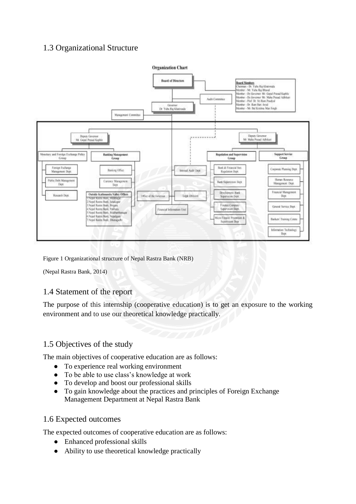# 1.3 Organizational Structure



Figure 1 Organizational structure of Nepal Rastra Bank (NRB)

(Nepal Rastra Bank, 2014)

## 1.4 Statement of the report

The purpose of this internship (cooperative education) is to get an exposure to the working environment and to use our theoretical knowledge practically.

# 1.5 Objectives of the study

The main objectives of cooperative education are as follows:

- To experience real working environment
- To be able to use class's knowledge at work
- To develop and boost our professional skills
- To gain knowledge about the practices and principles of Foreign Exchange Management Department at Nepal Rastra Bank

## 1.6 Expected outcomes

The expected outcomes of cooperative education are as follows:

- Enhanced professional skills
- Ability to use theoretical knowledge practically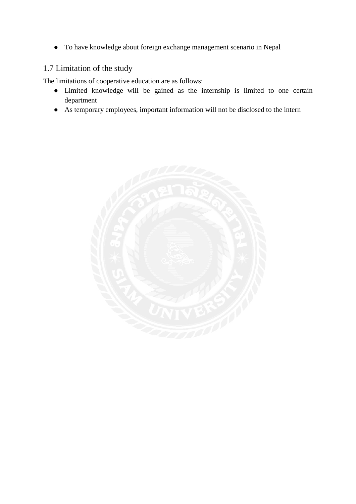● To have knowledge about foreign exchange management scenario in Nepal

# 1.7 Limitation of the study

The limitations of cooperative education are as follows:

- Limited knowledge will be gained as the internship is limited to one certain department
- As temporary employees, important information will not be disclosed to the intern

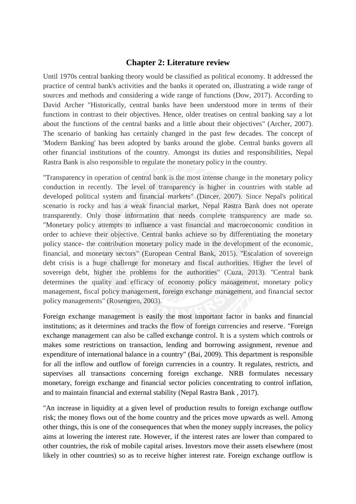## **Chapter 2: Literature review**

Until 1970s central banking theory would be classified as political economy. It addressed the practice of central bank's activities and the banks it operated on, illustrating a wide range of sources and methods and considering a wide range of functions (Dow, 2017). According to David Archer "Historically, central banks have been understood more in terms of their functions in contrast to their objectives. Hence, older treatises on central banking say a lot about the functions of the central banks and a little about their objectives" (Archer, 2007). The scenario of banking has certainly changed in the past few decades. The concept of 'Modern Banking' has been adopted by banks around the globe. Central banks govern all other financial institutions of the country. Amongst its duties and responsibilities, Nepal Rastra Bank is also responsible to regulate the monetary policy in the country.

"Transparency in operation of central bank is the most intense change in the monetary policy conduction in recently. The level of transparency is higher in countries with stable ad developed political system and financial markets" (Dincer, 2007). Since Nepal's political scenario is rocky and has a weak financial market, Nepal Rastra Bank does not operate transparently. Only those information that needs complete transparency are made so. "Monetary policy attempts to influence a vast financial and macroeconomic condition in order to achieve their objective. Central banks achieve so by differentiating the monetary policy stance- the contribution monetary policy made in the development of the economic, financial, and monetary sectors" (European Central Bank, 2015). "Escalation of sovereign debt crisis is a huge challenge for monetary and fiscal authorities. Higher the level of sovereign debt, higher the problems for the authorities" (Cuza, 2013). "Central bank determines the quality and efficacy of economy policy management, monetary policy management, fiscal policy management, foreign exchange management, and financial sector policy managements" (Rosengren, 2003).

Foreign exchange management is easily the most important factor in banks and financial institutions; as it determines and tracks the flow of foreign currencies and reserve. "Foreign exchange management can also be called exchange control. It is a system which controls or makes some restrictions on transaction, lending and borrowing assignment, revenue and expenditure of international balance in a country" (Bai, 2009). This department is responsible for all the inflow and outflow of foreign currencies in a country. It regulates, restricts, and supervises all transactions concerning foreign exchange. NRB formulates necessary monetary, foreign exchange and financial sector policies concentrating to control inflation, and to maintain financial and external stability (Nepal Rastra Bank , 2017).

"An increase in liquidity at a given level of production results to foreign exchange outflow risk; the money flows out of the home country and the prices move upwards as well. Among other things, this is one of the consequences that when the money supply increases, the policy aims at lowering the interest rate. However, if the interest rates are lower than compared to other countries, the risk of mobile capital arises. Investors move their assets elsewhere (most likely in other countries) so as to receive higher interest rate. Foreign exchange outflow is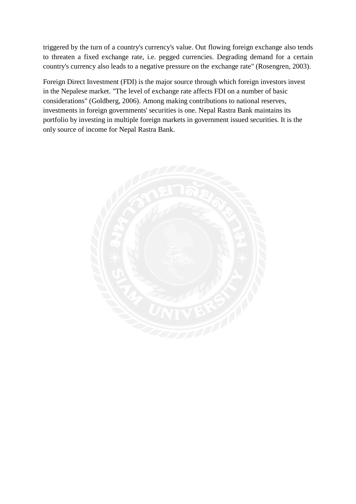triggered by the turn of a country's currency's value. Out flowing foreign exchange also tends to threaten a fixed exchange rate, i.e. pegged currencies. Degrading demand for a certain country's currency also leads to a negative pressure on the exchange rate" (Rosengren, 2003).

Foreign Direct Investment (FDI) is the major source through which foreign investors invest in the Nepalese market. "The level of exchange rate affects FDI on a number of basic considerations" (Goldberg, 2006). Among making contributions to national reserves, investments in foreign governments' securities is one. Nepal Rastra Bank maintains its portfolio by investing in multiple foreign markets in government issued securities. It is the only source of income for Nepal Rastra Bank.

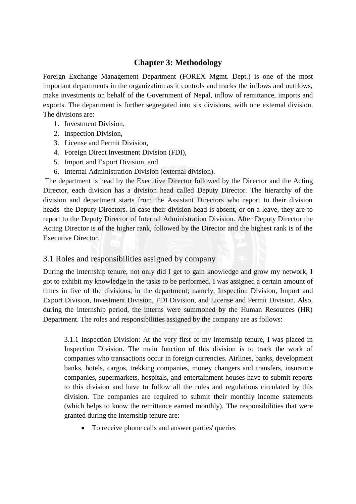# **Chapter 3: Methodology**

Foreign Exchange Management Department (FOREX Mgmt. Dept.) is one of the most important departments in the organization as it controls and tracks the inflows and outflows, make investments on behalf of the Government of Nepal, inflow of remittance, imports and exports. The department is further segregated into six divisions, with one external division. The divisions are:

- 1. Investment Division,
- 2. Inspection Division,
- 3. License and Permit Division,
- 4. Foreign Direct Investment Division (FDI),
- 5. Import and Export Division, and
- 6. Internal Administration Division (external division).

The department is head by the Executive Director followed by the Director and the Acting Director, each division has a division head called Deputy Director. The hierarchy of the division and department starts from the Assistant Directors who report to their division heads- the Deputy Directors. In case their division head is absent, or on a leave, they are to report to the Deputy Director of Internal Administration Division. After Deputy Director the Acting Director is of the higher rank, followed by the Director and the highest rank is of the Executive Director.

## 3.1 Roles and responsibilities assigned by company

During the internship tenure, not only did I get to gain knowledge and grow my network, I got to exhibit my knowledge in the tasks to be performed. I was assigned a certain amount of times in five of the divisions, in the department; namely, Inspection Division, Import and Export Division, Investment Division, FDI Division, and License and Permit Division. Also, during the internship period, the interns were summoned by the Human Resources (HR) Department. The roles and responsibilities assigned by the company are as follows:

3.1.1 Inspection Division: At the very first of my internship tenure, I was placed in Inspection Division. The main function of this division is to track the work of companies who transactions occur in foreign currencies. Airlines, banks, development banks, hotels, cargos, trekking companies, money changers and transfers, insurance companies, supermarkets, hospitals, and entertainment houses have to submit reports to this division and have to follow all the rules and regulations circulated by this division. The companies are required to submit their monthly income statements (which helps to know the remittance earned monthly). The responsibilities that were granted during the internship tenure are:

To receive phone calls and answer parties' queries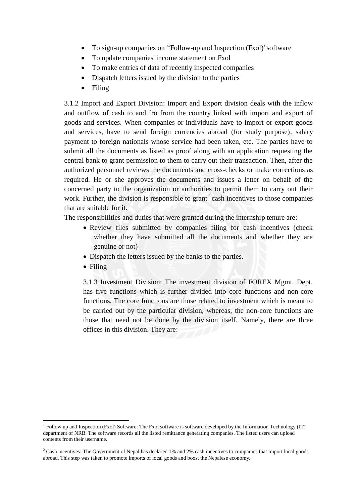- $\bullet$  To sign-up companies on  $\mathrm{L}^1$ Follow-up and Inspection (Fxol)' software
- To update companies' income statement on Fxol
- To make entries of data of recently inspected companies
- Dispatch letters issued by the division to the parties
- Filing

3.1.2 Import and Export Division: Import and Export division deals with the inflow and outflow of cash to and fro from the country linked with import and export of goods and services. When companies or individuals have to import or export goods and services, have to send foreign currencies abroad (for study purpose), salary payment to foreign nationals whose service had been taken, etc. The parties have to submit all the documents as listed as proof along with an application requesting the central bank to grant permission to them to carry out their transaction. Then, after the authorized personnel reviews the documents and cross-checks or make corrections as required. He or she approves the documents and issues a letter on behalf of the concerned party to the organization or authorities to permit them to carry out their work. Further, the division is responsible to grant  $2$  cash incentives to those companies that are suitable for it.

The responsibilities and duties that were granted during the internship tenure are:

- Review files submitted by companies filing for cash incentives (check whether they have submitted all the documents and whether they are genuine or not)
- Dispatch the letters issued by the banks to the parties.
- Filing

1

3.1.3 Investment Division: The investment division of FOREX Mgmt. Dept. has five functions which is further divided into core functions and non-core functions. The core functions are those related to investment which is meant to be carried out by the particular division, whereas, the non-core functions are those that need not be done by the division itself. Namely, there are three offices in this division. They are:

<sup>&</sup>lt;sup>1</sup> Follow up and Inspection (Fxol) Software: The Fxol software is software developed by the Information Technology (IT) department of NRB. The software records all the listed remittance generating companies. The listed users can upload contents from their username.

<sup>&</sup>lt;sup>2</sup> Cash incentives: The Government of Nepal has declared 1% and 2% cash incentives to companies that import local goods abroad. This step was taken to promote imports of local goods and boost the Nepalese economy.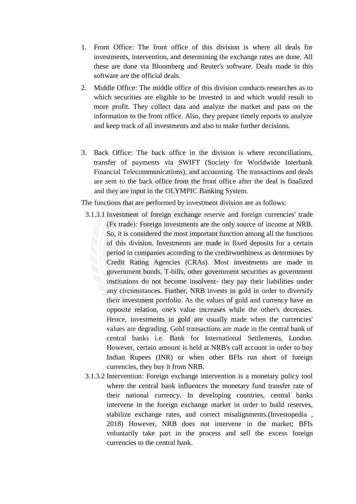- 1. Front Office: The front office of this division is where all deals for investments, intervention, and determining the exchange rates are done. All these are done via Bloomberg and Reuter's software. Deals made in this software are the official deals.
- 2. Middle Office: The middle office of this division conducts researches as to which securities are eligible to be invested in and which would result to more profit. They collect data and analyze the market and pass on the information to the front office. Also, they prepare timely reports to analyze and keep track of all investments and also to make further decisions.
- 3. Back Office: The back office in the division is where reconciliations, transfer of payments via SWIFT (Society for Worldwide Interbank Financial Telecommunications), and accounting. The transactions and deals are sent to the back office from the front office after the deal is finalized and they are input in the OLYMPIC Banking System.

The functions that are performed by investment division are as follows:

- 3.1.3.1 Investment of foreign exchange reserve and foreign currencies' trade (Fx trade): Foreign investments are the only source of income at NRB. So, it is considered the most important function among all the functions of this division. Investments are made in fixed deposits for a certain period in companies according to the creditworthiness as determines by Credit Rating Agencies (CRAs). Most investments are made in government bonds, T-bills, other government securities as government institutions do not become insolvent- they pay their liabilities under any circumstances. Further, NRB invests in gold in order to diversify their investment portfolio. As the values of gold and currency have an opposite relation, one's value increases while the other's decreases. Hence, investments in gold are usually made when the currencies' values are degrading. Gold transactions are made in the central bank of central banks i.e. Bank for International Settlements, London. However, certain amount is held at NRB's call account in order to buy Indian Rupees (INR) or when other BFIs run short of foreign currencies, they buy it from NRB.
- 3.1.3.2 Intervention: Foreign exchange intervention is a monetary policy tool where the central bank influences the monetary fund transfer rate of their national currency. In developing countries, central banks intervene in the foreign exchange market in order to build reserves, stabilize exchange rates, and correct misalignments.(Investopedia , 2018) However, NRB does not intervene in the market; BFIs voluntarily take part in the process and sell the excess foreign currencies to the central bank.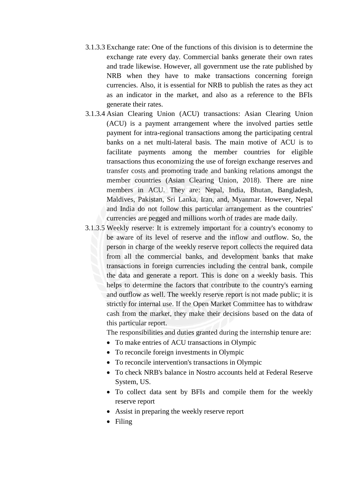- 3.1.3.3 Exchange rate: One of the functions of this division is to determine the exchange rate every day. Commercial banks generate their own rates and trade likewise. However, all government use the rate published by NRB when they have to make transactions concerning foreign currencies. Also, it is essential for NRB to publish the rates as they act as an indicator in the market, and also as a reference to the BFIs generate their rates.
- 3.1.3.4 Asian Clearing Union (ACU) transactions: Asian Clearing Union (ACU) is a payment arrangement where the involved parties settle payment for intra-regional transactions among the participating central banks on a net multi-lateral basis. The main motive of ACU is to facilitate payments among the member countries for eligible transactions thus economizing the use of foreign exchange reserves and transfer costs and promoting trade and banking relations amongst the member countries (Asian Clearing Union, 2018). There are nine members in ACU. They are: Nepal, India, Bhutan, Bangladesh, Maldives, Pakistan, Sri Lanka, Iran, and, Myanmar. However, Nepal and India do not follow this particular arrangement as the countries' currencies are pegged and millions worth of trades are made daily.
- 3.1.3.5 Weekly reserve: It is extremely important for a country's economy to be aware of its level of reserve and the inflow and outflow. So, the person in charge of the weekly reserve report collects the required data from all the commercial banks, and development banks that make transactions in foreign currencies including the central bank, compile the data and generate a report. This is done on a weekly basis. This helps to determine the factors that contribute to the country's earning and outflow as well. The weekly reserve report is not made public; it is strictly for internal use. If the Open Market Committee has to withdraw cash from the market, they make their decisions based on the data of this particular report.

The responsibilities and duties granted during the internship tenure are:

- To make entries of ACU transactions in Olympic
- To reconcile foreign investments in Olympic
- To reconcile intervention's transactions in Olympic
- To check NRB's balance in Nostro accounts held at Federal Reserve System, US.
- To collect data sent by BFIs and compile them for the weekly reserve report
- Assist in preparing the weekly reserve report
- Filing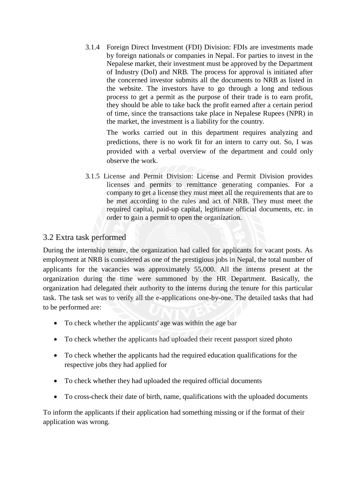3.1.4 Foreign Direct Investment (FDI) Division: FDIs are investments made by foreign nationals or companies in Nepal. For parties to invest in the Nepalese market, their investment must be approved by the Department of Industry (DoI) and NRB. The process for approval is initiated after the concerned investor submits all the documents to NRB as listed in the website. The investors have to go through a long and tedious process to get a permit as the purpose of their trade is to earn profit, they should be able to take back the profit earned after a certain period of time, since the transactions take place in Nepalese Rupees (NPR) in the market, the investment is a liability for the country.

The works carried out in this department requires analyzing and predictions, there is no work fit for an intern to carry out. So, I was provided with a verbal overview of the department and could only observe the work.

3.1.5 License and Permit Division: License and Permit Division provides licenses and permits to remittance generating companies. For a company to get a license they must meet all the requirements that are to be met according to the rules and act of NRB. They must meet the required capital, paid-up capital, legitimate official documents, etc. in order to gain a permit to open the organization.

# 3.2 Extra task performed

During the internship tenure, the organization had called for applicants for vacant posts. As employment at NRB is considered as one of the prestigious jobs in Nepal, the total number of applicants for the vacancies was approximately 55,000. All the interns present at the organization during the time were summoned by the HR Department. Basically, the organization had delegated their authority to the interns during the tenure for this particular task. The task set was to verify all the e-applications one-by-one. The detailed tasks that had to be performed are:

- To check whether the applicants' age was within the age bar
- To check whether the applicants had uploaded their recent passport sized photo
- To check whether the applicants had the required education qualifications for the respective jobs they had applied for
- To check whether they had uploaded the required official documents
- To cross-check their date of birth, name, qualifications with the uploaded documents

To inform the applicants if their application had something missing or if the format of their application was wrong.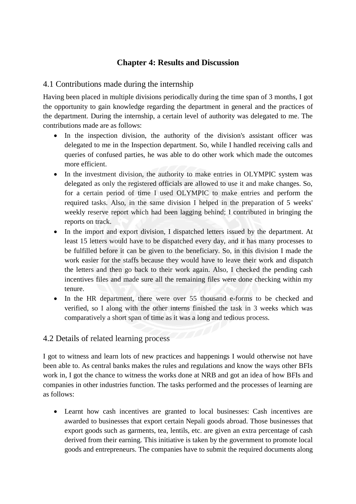# **Chapter 4: Results and Discussion**

# 4.1 Contributions made during the internship

Having been placed in multiple divisions periodically during the time span of 3 months, I got the opportunity to gain knowledge regarding the department in general and the practices of the department. During the internship, a certain level of authority was delegated to me. The contributions made are as follows:

- In the inspection division, the authority of the division's assistant officer was delegated to me in the Inspection department. So, while I handled receiving calls and queries of confused parties, he was able to do other work which made the outcomes more efficient.
- In the investment division, the authority to make entries in OLYMPIC system was delegated as only the registered officials are allowed to use it and make changes. So, for a certain period of time I used OLYMPIC to make entries and perform the required tasks. Also, in the same division I helped in the preparation of 5 weeks' weekly reserve report which had been lagging behind; I contributed in bringing the reports on track.
- In the import and export division, I dispatched letters issued by the department. At least 15 letters would have to be dispatched every day, and it has many processes to be fulfilled before it can be given to the beneficiary. So, in this division I made the work easier for the staffs because they would have to leave their work and dispatch the letters and then go back to their work again. Also, I checked the pending cash incentives files and made sure all the remaining files were done checking within my tenure.
- In the HR department, there were over 55 thousand e-forms to be checked and verified, so I along with the other interns finished the task in 3 weeks which was comparatively a short span of time as it was a long and tedious process.

# 4.2 Details of related learning process

I got to witness and learn lots of new practices and happenings I would otherwise not have been able to. As central banks makes the rules and regulations and know the ways other BFIs work in, I got the chance to witness the works done at NRB and got an idea of how BFIs and companies in other industries function. The tasks performed and the processes of learning are as follows:

 Learnt how cash incentives are granted to local businesses: Cash incentives are awarded to businesses that export certain Nepali goods abroad. Those businesses that export goods such as garments, tea, lentils, etc. are given an extra percentage of cash derived from their earning. This initiative is taken by the government to promote local goods and entrepreneurs. The companies have to submit the required documents along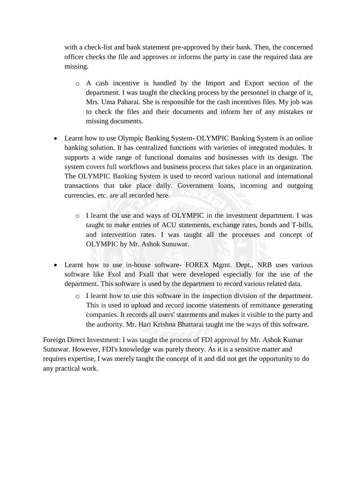with a check-list and bank statement pre-approved by their bank. Then, the concerned officer checks the file and approves or informs the party in case the required data are missing.

- o A cash incentive is handled by the Import and Export section of the department. I was taught the checking process by the personnel in charge of it, Mrs. Uma Paharai. She is responsible for the cash incentives files. My job was to check the files and their documents and inform her of any mistakes or missing documents.
- Learnt how to use Olympic Banking System- OLYMPIC Banking System is an online banking solution. It has centralized functions with varieties of integrated modules. It supports a wide range of functional domains and businesses with its design. The system covers full workflows and business process that takes place in an organization. The OLYMPIC Banking System is used to record various national and international transactions that take place daily. Government loans, incoming and outgoing currencies, etc. are all recorded here.
	- o I learnt the use and ways of OLYMPIC in the investment department. I was taught to make entries of ACU statements, exchange rates, bonds and T-bills, and intervention rates. I was taught all the processes and concept of OLYMPIC by Mr. Ashok Sunuwar.
- Learnt how to use in-house software- FOREX Mgmt. Dept., NRB uses various software like Fxol and Fxall that were developed especially for the use of the department. This software is used by the department to record various related data.
	- o I learnt how to use this software in the inspection division of the department. This is used to upload and record income statements of remittance generating companies. It records all users' statements and makes it visible to the party and the authority. Mr. Hari Krishna Bhattarai taught me the ways of this software.

Foreign Direct Investment: I was taught the process of FDI approval by Mr. Ashok Kumar Sunuwar. However, FDI's knowledge was purely theory. As it is a sensitive matter and requires expertise, I was merely taught the concept of it and did not get the opportunity to do any practical work.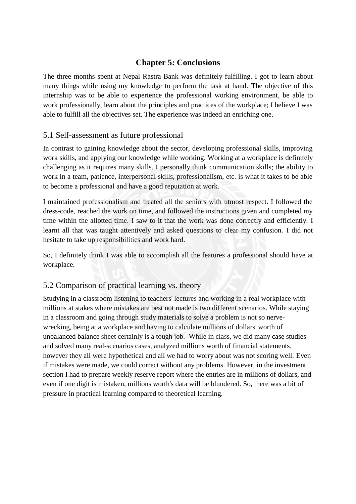# **Chapter 5: Conclusions**

The three months spent at Nepal Rastra Bank was definitely fulfilling. I got to learn about many things while using my knowledge to perform the task at hand. The objective of this internship was to be able to experience the professional working environment, be able to work professionally, learn about the principles and practices of the workplace; I believe I was able to fulfill all the objectives set. The experience was indeed an enriching one.

## 5.1 Self-assessment as future professional

In contrast to gaining knowledge about the sector, developing professional skills, improving work skills, and applying our knowledge while working. Working at a workplace is definitely challenging as it requires many skills. I personally think communication skills; the ability to work in a team, patience, interpersonal skills, professionalism, etc. is what it takes to be able to become a professional and have a good reputation at work.

I maintained professionalism and treated all the seniors with utmost respect. I followed the dress-code, reached the work on time, and followed the instructions given and completed my time within the allotted time. I saw to it that the work was done correctly and efficiently. I learnt all that was taught attentively and asked questions to clear my confusion. I did not hesitate to take up responsibilities and work hard.

So, I definitely think I was able to accomplish all the features a professional should have at workplace.

## 5.2 Comparison of practical learning vs. theory

Studying in a classroom listening to teachers' lectures and working in a real workplace with millions at stakes where mistakes are best not made is two different scenarios. While staying in a classroom and going through study materials to solve a problem is not so nervewrecking, being at a workplace and having to calculate millions of dollars' worth of unbalanced balance sheet certainly is a tough job. While in class, we did many case studies and solved many real-scenarios cases, analyzed millions worth of financial statements, however they all were hypothetical and all we had to worry about was not scoring well. Even if mistakes were made, we could correct without any problems. However, in the investment section I had to prepare weekly reserve report where the entries are in millions of dollars, and even if one digit is mistaken, millions worth's data will be blundered. So, there was a bit of pressure in practical learning compared to theoretical learning.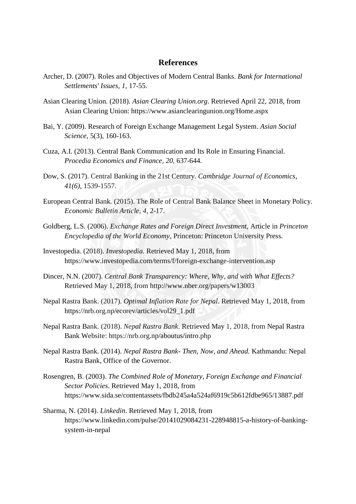## **References**

- Archer, D. (2007). Roles and Objectives of Modern Central Banks. *Bank for International Settlements' Issues, 1,* 17-55.
- Asian Clearing Union. (2018). *Asian Clearing Union.org*. Retrieved April 22, 2018, from Asian Clearing Union: https://www.asianclearingunion.org/Home.aspx
- Bai, Y. (2009). Research of Foreign Exchange Management Legal System. *Asian Social Science*, 5(3), 160-163.
- Cuza, A.I. (2013). Central Bank Communication and Its Role in Ensuring Financial. *Procedia Economics and Finance, 20,* 637-644.
- Dow, S. (2017). Central Banking in the 21st Century. *Cambridge Journal of Economics, 41(6),* 1539-1557.
- European Central Bank. (2015). The Role of Central Bank Balance Sheet in Monetary Policy. *Economic Bulletin Article*, *4,* 2-17.
- Goldberg, L.S. (2006). *Exchange Rates and Foreign Direct Investment,* Article in *Princeton Encyclopedia of the World Economy*, Princeton: Princeton University Press.
- Investopedia. (2018). *Investopedia*. Retrieved May 1, 2018, from https://www.investopedia.com/terms/f/foreign-exchange-intervention.asp
- Dincer, N.N. (2007). *Central Bank Transparency: Where, Why, and with What Effects?* Retrieved May 1, 2018, from http://www.nber.org/papers/w13003
- Nepal Rastra Bank. (2017). *Optimal Inflation Rate for Nepal*. Retrieved May 1, 2018, from https://nrb.org.np/ecorev/articles/vol29\_1.pdf
- Nepal Rastra Bank. (2018). *Nepal Rastra Bank*. Retrieved May 1, 2018, from Nepal Rastra Bank Website: https://nrb.org.np/aboutus/intro.php
- Nepal Rastra Bank. (2014). *Nepal Rastra Bank- Then, Now, and Ahead.* Kathmandu: Nepal Rastra Bank, Office of the Governor.
- Rosengren, B. (2003). *The Combined Role of Monetary, Foreign Exchange and Financial Sector Policies*. Retrieved May 1, 2018, from https://www.sida.se/contentassets/fbdb245a4a524af6919c5b612fdbe965/13887.pdf
- Sharma, N. (2014). *Linkedin*. Retrieved May 1, 2018, from https://www.linkedin.com/pulse/20141029084231-228948815-a-history-of-bankingsystem-in-nepal